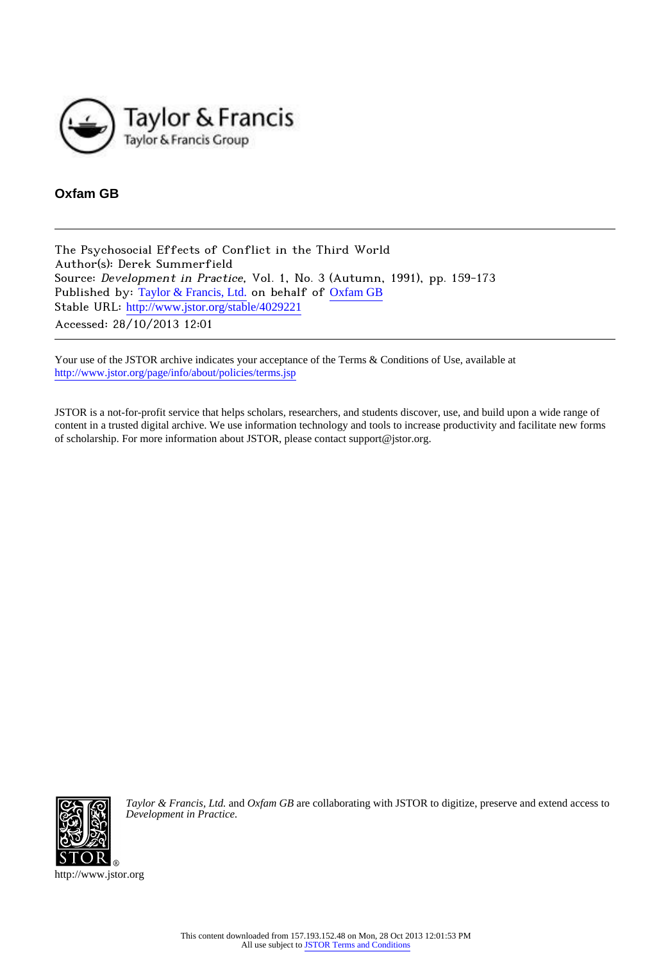

# **Oxfam GB**

The Psychosocial Effects of Conflict in the Third World Author(s): Derek Summerfield Source: Development in Practice, Vol. 1, No. 3 (Autumn, 1991), pp. 159-173 Published by: [Taylor & Francis, Ltd.](http://www.jstor.org/action/showPublisher?publisherCode=taylorfrancis) on behalf of [Oxfam GB](http://www.jstor.org/action/showPublisher?publisherCode=ogb) Stable URL: [http://www.jstor.org/stable/4029221](http://www.jstor.org/stable/4029221?origin=JSTOR-pdf) Accessed: 28/10/2013 12:01

Your use of the JSTOR archive indicates your acceptance of the Terms & Conditions of Use, available at <http://www.jstor.org/page/info/about/policies/terms.jsp>

JSTOR is a not-for-profit service that helps scholars, researchers, and students discover, use, and build upon a wide range of content in a trusted digital archive. We use information technology and tools to increase productivity and facilitate new forms of scholarship. For more information about JSTOR, please contact support@jstor.org.



*Taylor & Francis, Ltd.* and *Oxfam GB* are collaborating with JSTOR to digitize, preserve and extend access to *Development in Practice.*

http://www.jstor.org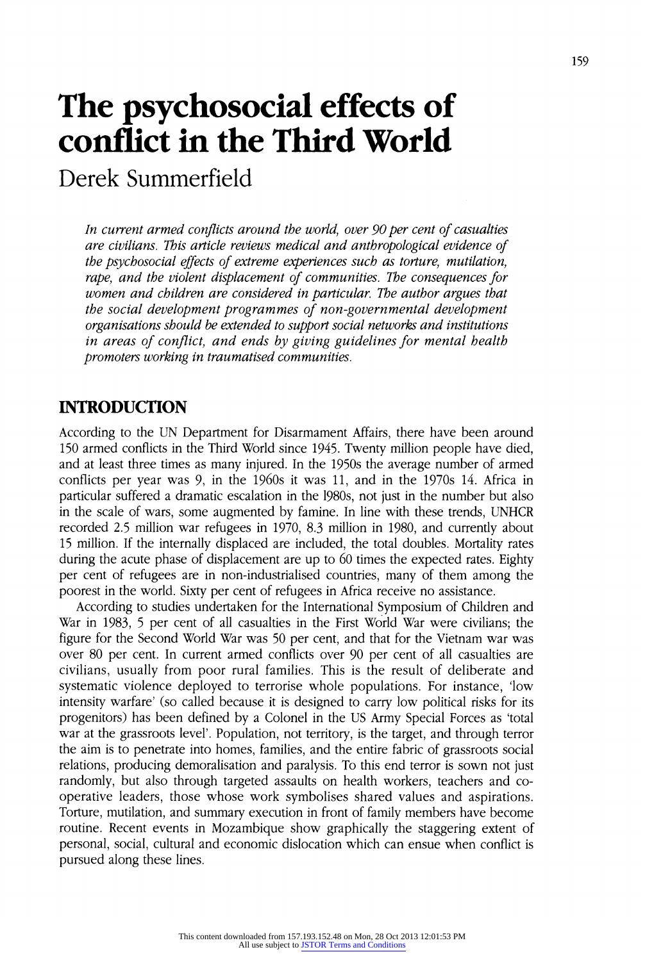# **The psychosocial effects of conflict in the Third World Derek Summerfield**

**In current armed conflicts around the world, over 90 per cent of casualties are civilians. 7Tis article reviews medical and anthropological evidence of the psychosocial effects of extreme experiences such as torture, mutilation, rape, and the violent displacement of communities. The consequences for women and children are considered in particular. The author argues that the social development programmes of non-governmental development organisations should be extended to support social networks and institutions in areas of conflict, and ends by giving guidelines for mental health promoters working in traumatised communities.** 

#### **INTRODUCTION**

**According to the UN Department for Disarmament Affairs, there have been around 150 armed conflicts in the Third World since 1945. Twenty million people have died, and at least three times as many injured. In the 1950s the average number of armed conflicts per year was 9, in the 1960s it was 11, and in the 1970s 14. Africa in particular suffered a dramatic escalation in the 1980s, not just in the number but also in the scale of wars, some augmented by famine. In line with these trends, UNHCR recorded 2.5 million war refugees in 1970, 8.3 million in 1980, and currently about 15 million. If the internally displaced are included, the total doubles. Mortality rates during the acute phase of displacement are up to 60 times the expected rates. Eighty per cent of refugees are in non-industrialised countries, many of them among the poorest in the world. Sixty per cent of refugees in Africa receive no assistance.** 

**According to studies undertaken for the International Symposium of Children and War in 1983, 5 per cent of all casualties in the First World War were civilians; the figure for the Second World War was 50 per cent, and that for the Vietnam war was over 80 per cent. In current armed conflicts over 90 per cent of all casualties are civilians, usually from poor rural families. This is the result of deliberate and systematic violence deployed to terrorise whole populations. For instance, 'low intensity warfare' (so called because it is designed to carry low political risks for its progenitors) has been defined by a Colonel in the US Army Special Forces as 'total war at the grassroots level'. Population, not territory, is the target, and through terror the aim is to penetrate into homes, families, and the entire fabric of grassroots social relations, producing demoralisation and paralysis. To this end terror is sown not just randomly, but also through targeted assaults on health workers, teachers and cooperative leaders, those whose work symbolises shared values and aspirations. Torture, mutilation, and summary execution in front of family members have become routine. Recent events in Mozambique show graphically the staggering extent of personal, social, cultural and economic dislocation which can ensue when conflict is pursued along these lines.**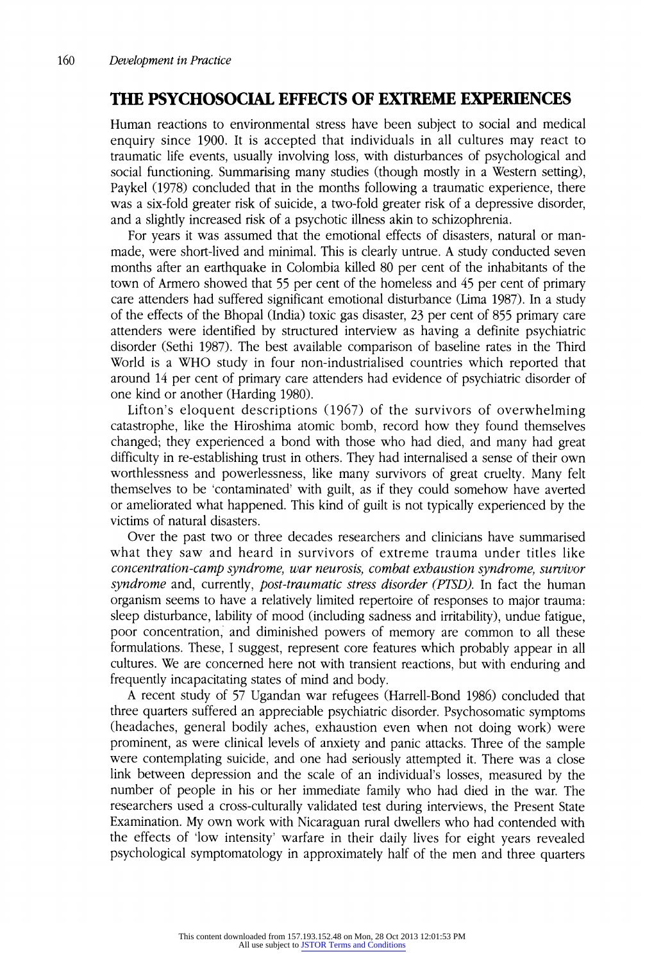### **THE PSYCHOSOCIAL EFFECTS OF EXTREME EXPERIENCES**

**Human reactions to environmental stress have been subject to social and medical enquiry since 1900. It is accepted that individuals in all cultures may react to traumatic life events, usually involving loss, with disturbances of psychological and social functioning. Summarising many studies (though mostly in a Western setting), Paykel (1978) concluded that in the months following a traumatic experience, there was a six-fold greater risk of suicide, a two-fold greater risk of a depressive disorder, and a slightly increased risk of a psychotic illness akin to schizophrenia.** 

**For years it was assumed that the emotional effects of disasters, natural or manmade, were short-lived and minimal. This is clearly untrue. A study conducted seven months after an earthquake in Colombia killed 80 per cent of the inhabitants of the town of Armero showed that 55 per cent of the homeless and 45 per cent of primary care attenders had suffered significant emotional disturbance (Lima 1987). In a study of the effects of the Bhopal (India) toxic gas disaster, 23 per cent of 855 primary care attenders were identified by structured interview as having a definite psychiatric disorder (Sethi 1987). The best available comparison of baseline rates in the Third World is a WHO study in four non-industrialised countries which reported that around 14 per cent of primary care attenders had evidence of psychiatric disorder of one kind or another (Harding 1980).** 

**Lifton's eloquent descriptions (1967) of the survivors of overwhelming catastrophe, like the Hiroshima atomic bomb, record how they found themselves changed; they experienced a bond with those who had died, and many had great difficulty in re-establishing trust in others. They had internalised a sense of their own worthlessness and powerlessness, like many survivors of great cruelty. Many felt themselves to be 'contaminated' with guilt, as if they could somehow have averted or ameliorated what happened. This kind of guilt is not typically experienced by the victims of natural disasters.** 

**Over the past two or three decades researchers and clinicians have summarised what they saw and heard in survivors of extreme trauma under titles like concentration-camp syndrome, war neurosis, combat exhaustion syndrome, survivor syndrome and, currently, post-traumatic stress disorder (PTSD). In fact the human organism seems to have a relatively limited repertoire of responses to major trauma: sleep disturbance, lability of mood (including sadness and irritability), undue fatigue, poor concentration, and diminished powers of memory are common to all these formulations. These, I suggest, represent core features which probably appear in all cultures. We are concerned here not with transient reactions, but with enduring and frequently incapacitating states of mind and body.** 

**A recent study of 57 Ugandan war refugees (Harrell-Bond 1986) concluded that three quarters suffered an appreciable psychiatric disorder. Psychosomatic symptoms (headaches, general bodily aches, exhaustion even when not doing work) were prominent, as were clinical levels of anxiety and panic attacks. Three of the sample were contemplating suicide, and one had seriously attempted it. There was a close link between depression and the scale of an individual's losses, measured by the number of people in his or her immediate family who had died in the war. The researchers used a cross-culturally validated test during interviews, the Present State Examination. My own work with Nicaraguan rural dwellers who had contended with the effects of 'low intensity' warfare in their daily lives for eight years revealed psychological symptomatology in approximately half of the men and three quarters**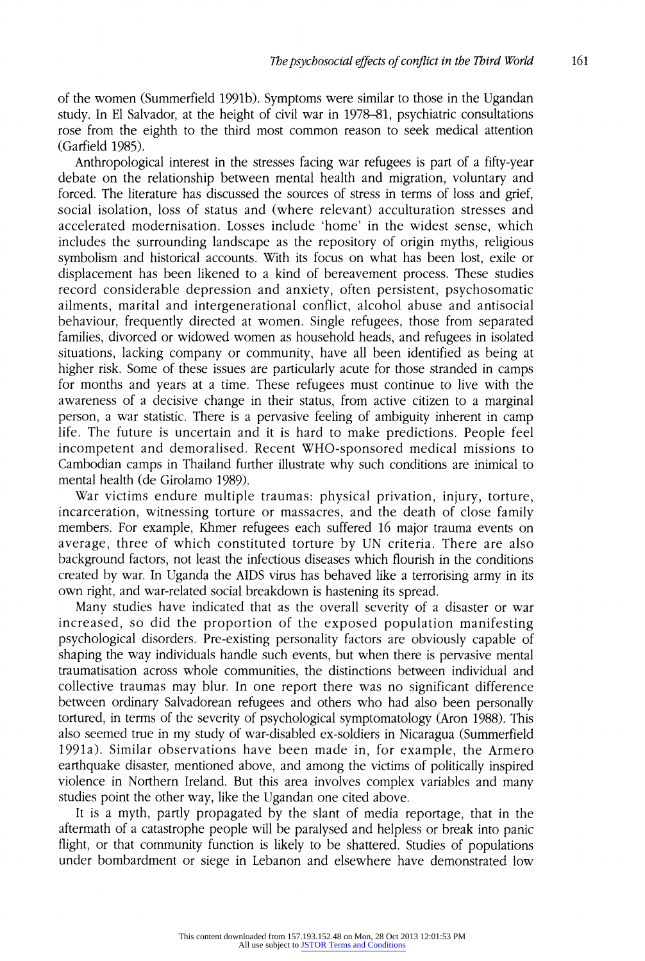**of the women (Summerfield 1991b). Symptoms were similar to those in the Ugandan study. In El Salvador, at the height of civil war in 1978-81, psychiatric consultations rose from the eighth to the third most common reason to seek medical attention (Garfield 1985).** 

**Anthropological interest in the stresses facing war refugees is part of a fifty-year debate on the relationship between mental health and migration, voluntary and forced. The literature has discussed the sources of stress in terms of loss and grief, social isolation, loss of status and (where relevant) acculturation stresses and accelerated modernisation. Losses include 'home' in the widest sense, which includes the surrounding landscape as the repository of origin myths, religious symbolism and historical accounts. With its focus on what has been lost, exile or displacement has been likened to a kind of bereavement process. These studies record considerable depression and anxiety, often persistent, psychosomatic ailments, marital and intergenerational conflict, alcohol abuse and antisocial behaviour, frequently directed at women. Single refugees, those from separated families, divorced or widowed women as household heads, and refugees in isolated situations, lacking company or community, have all been identified as being at higher risk. Some of these issues are particularly acute for those stranded in camps for months and years at a time. These refugees must continue to live with the awareness of a decisive change in their status, from active citizen to a marginal person, a war statistic. There is a pervasive feeling of ambiguity inherent in camp life. The future is uncertain and it is hard to make predictions. People feel incompetent and demoralised. Recent WHO-sponsored medical missions to Cambodian camps in Thailand further illustrate why such conditions are inimical to mental health (de Girolamo 1989).** 

**War victims endure multiple traumas: physical privation, injury, torture, incarceration, witnessing torture or massacres, and the death of close family members. For example, Khmer refugees each suffered 16 major trauma events on average, three of which constituted torture by UN criteria. There are also background factors, not least the infectious diseases which flourish in the conditions created by war. In Uganda the AIDS virus has behaved like a terrorising army in its own right, and war-related social breakdown is hastening its spread.** 

**Many studies have indicated that as the overall severity of a disaster or war increased, so did the proportion of the exposed population manifesting psychological disorders. Pre-existing personality factors are obviously capable of shaping the way individuals handle such events, but when there is pervasive mental traumatisation across whole communities, the distinctions between individual and collective traumas may blur. In one report there was no significant difference between ordinary Salvadorean refugees and others who had also been personally tortured, in terms of the severity of psychological symptomatology (Aron 1988). This also seemed true in my study of war-disabled ex-soldiers in Nicaragua (Summerfield 1991a). Similar observations have been made in, for example, the Armero earthquake disaster, mentioned above, and among the victims of politically inspired violence in Northern Ireland. But this area involves complex variables and many studies point the other way, like the Ugandan one cited above.** 

**It is a myth, partly propagated by the slant of media reportage, that in the aftermath of a catastrophe people will be paralysed and helpless or break into panic flight, or that community function is likely to be shattered. Studies of populations under bombardment or siege in Lebanon and elsewhere have demonstrated low**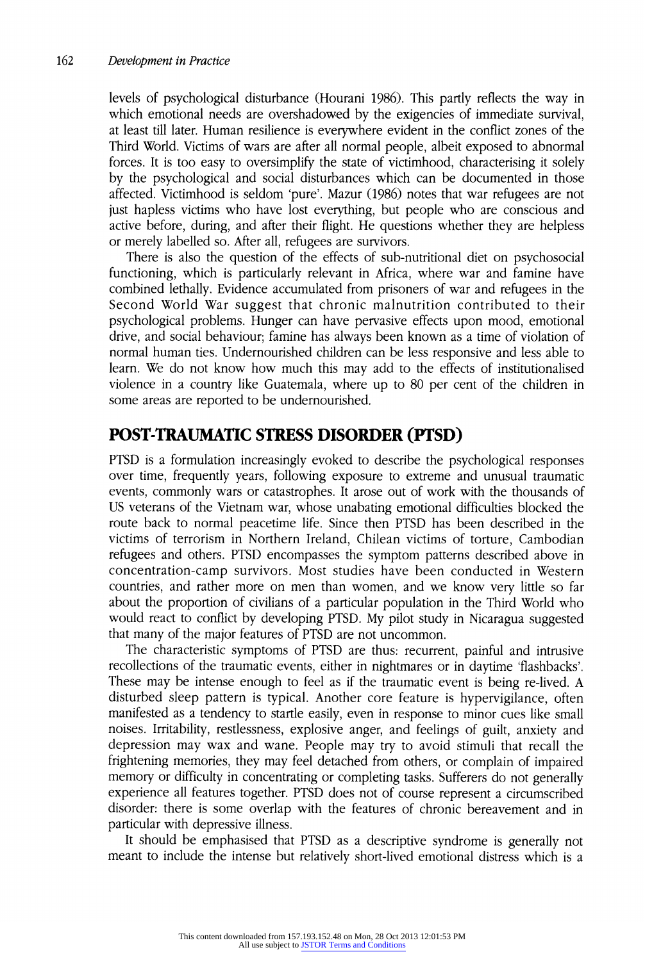**levels of psychological disturbance (Hourani 1986). This partly reflects the way in which emotional needs are overshadowed by the exigencies of immediate survival, at least till later. Human resilience is everywhere evident in the conflict zones of the Third World. Victims of wars are after all normal people, albeit exposed to abnormal forces. It is too easy to oversimplify the state of victimhood, characterising it solely by the psychological and social disturbances which can be documented in those affected. Victimhood is seldom 'pure'. Mazur (1986) notes that war refugees are not just hapless victims who have lost everything, but people who are conscious and active before, during, and after their flight. He questions whether they are helpless or merely labelled so. After all, refugees are survivors.** 

**There is also the question of the effects of sub-nutritional diet on psychosocial functioning, which is particularly relevant in Africa, where war and famine have combined lethally. Evidence accumulated from prisoners of war and refugees in the Second World War suggest that chronic malnutrition contributed to their psychological problems. Hunger can have pervasive effects upon mood, emotional drive, and social behaviour; famine has always been known as a time of violation of normal human ties. Undernourished children can be less responsive and less able to learn. We do not know how much this may add to the effects of institutionalised violence in a country like Guatemala, where up to 80 per cent of the children in some areas are reported to be undernourished.** 

## **POST-TRAUMATIC STRESS DISORDER (PISD)**

**PTSD is a formulation increasingly evoked to describe the psychological responses over time, frequently years, following exposure to extreme and unusual traumatic events, commonly wars or catastrophes. It arose out of work with the thousands of US veterans of the Vietnam war, whose unabating emotional difficulties blocked the route back to normal peacetime life. Since then PTSD has been described in the victims of terrorism in Northern Ireland, Chilean victims of torture, Cambodian refugees and others. PTSD encompasses the symptom patterns described above in concentration-camp survivors. Most studies have been conducted in Western countries, and rather more on men than women, and we know very little so far about the proportion of civilians of a particular population in the Third World who would react to conflict by developing PTSD. My pilot study in Nicaragua suggested that many of the major features of PTSD are not uncommon.** 

**The characteristic symptoms of PTSD are thus: recurrent, painful and intrusive recollections of the traumatic events, either in nightmares or in daytime 'flashbacks'. These may be intense enough to feel as if the traumatic event is being re-lived. A disturbed sleep pattern is typical. Another core feature is hypervigilance, often manifested as a tendency to startle easily, even in response to minor cues like small noises. Irritability, restlessness, explosive anger, and feelings of guilt, anxiety and depression may wax and wane. People may try to avoid stimuli that recall the frightening memories, they may feel detached from others, or complain of impaired memory or difficulty in concentrating or completing tasks. Sufferers do not generally experience all features together. PTSD does not of course represent a circumscribed disorder: there is some overlap with the features of chronic bereavement and in particular with depressive illness.** 

**It should be emphasised that PTSD as a descriptive syndrome is generally not meant to include the intense but relatively short-lived emotional distress which is a**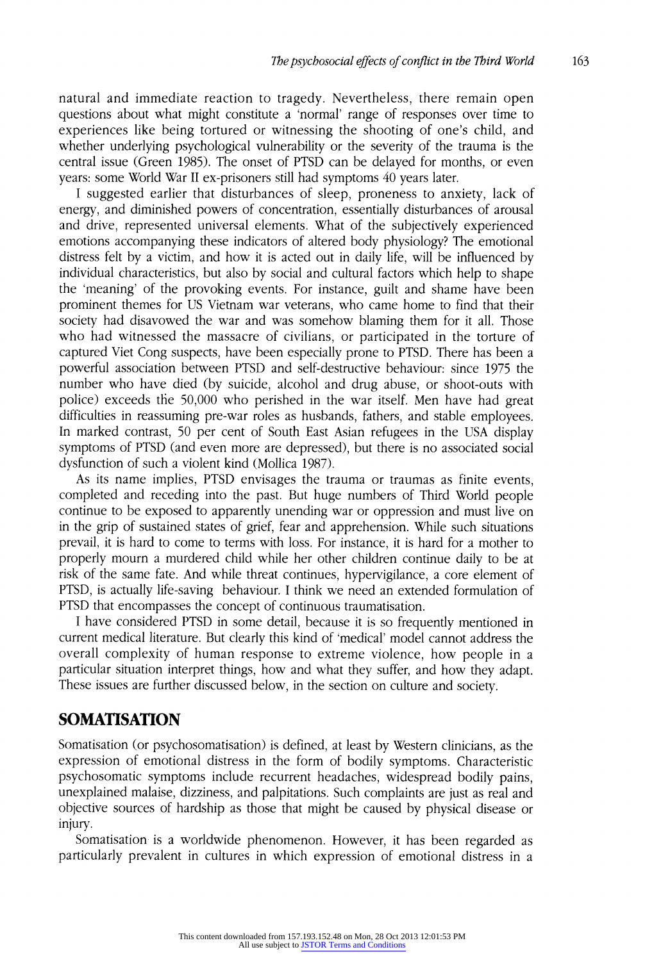**natural and immediate reaction to tragedy. Nevertheless, there remain open questions about what might constitute a 'normal' range of responses over time to experiences like being tortured or witnessing the shooting of one's child, and whether underlying psychological vulnerability or the severity of the trauma is the central issue (Green 1985). The onset of PTSD can be delayed for months, or even years: some World War II ex-prisoners still had symptoms 40 years later.** 

**I suggested earlier that disturbances of sleep, proneness to anxiety, lack of energy, and diminished powers of concentration, essentially disturbances of arousal and drive, represented universal elements. What of the subjectively experienced emotions accompanying these indicators of altered body physiology? The emotional distress felt by a victim, and how it is acted out in daily life, will be influenced by individual characteristics, but also by social and cultural factors which help to shape the 'meaning' of the provoking events. For instance, guilt and shame have been prominent themes for US Vietnam war veterans, who came home to find that their society had disavowed the war and was somehow blaming them for it all. Those who had witnessed the massacre of civilians, or participated in the torture of captured Viet Cong suspects, have been especially prone to PTSD. There has been a powerful association between PTSD and self-destructive behaviour: since 1975 the number who have died (by suicide, alcohol and drug abuse, or shoot-outs with police) exceeds the 50,000 who perished in the war itself. Men have had great difficulties in reassuming pre-war roles as husbands, fathers, and stable employees. In marked contrast, 50 per cent of South East Asian refugees in the USA display symptoms of PTSD (and even more are depressed), but there is no associated social dysfunction of such a violent kind (Mollica 1987).** 

**As its name implies, PTSD envisages the trauma or traumas as finite events, completed and receding into the past. But huge numbers of Third World people continue to be exposed to apparently unending war or oppression and must live on in the grip of sustained states of grief, fear and apprehension. While such situations prevail, it is hard to come to terms with loss. For instance, it is hard for a mother to properly mourn a murdered child while her other children continue daily to be at risk of the same fate. And while threat continues, hypervigilance, a core element of PTSD, is actually life-saving behaviour. I think we need an extended formulation of PTSD that encompasses the concept of continuous traumatisation.** 

**I have considered PTSD in some detail, because it is so frequently mentioned in current medical literature. But clearly this kind of 'medical' model cannot address the overall complexity of human response to extreme violence, how people in a particular situation interpret things, how and what they suffer, and how they adapt. These issues are further discussed below, in the section on culture and society.** 

## **SOMATISATION**

**Somatisation (or psychosomatisation) is defined, at least by Western clinicians, as the expression of emotional distress in the form of bodily symptoms. Characteristic psychosomatic symptoms include recurrent headaches, widespread bodily pains, unexplained malaise, dizziness, and palpitations. Such complaints are just as real and objective sources of hardship as those that might be caused by physical disease or injury.** 

**Somatisation is a worldwide phenomenon. However, it has been regarded as particularly prevalent in cultures in which expression of emotional distress in a**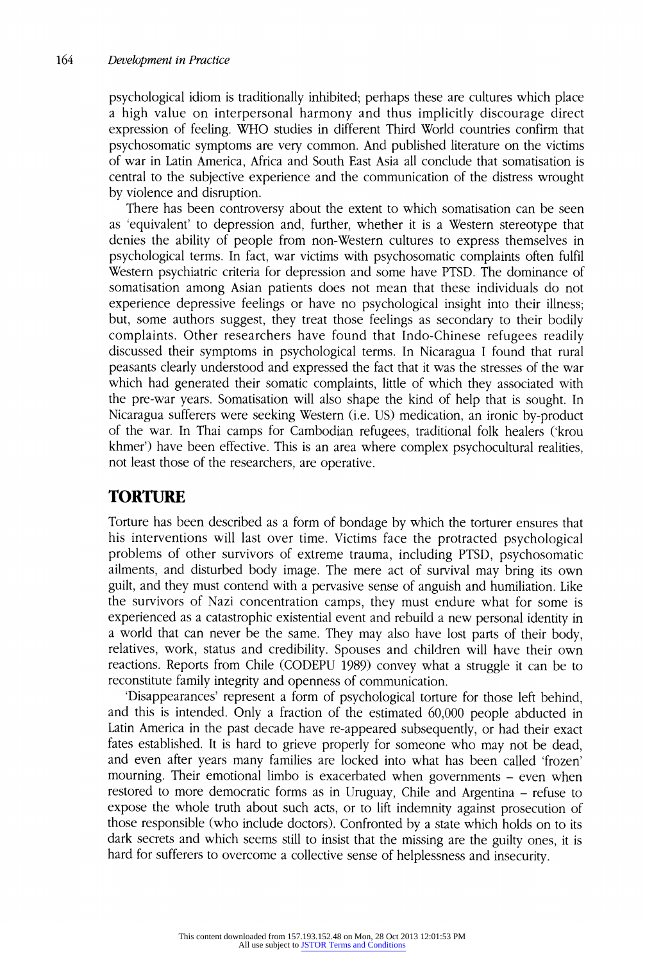**psychological idiom is traditionally inhibited; perhaps these are cultures which place a high value on interpersonal harmony and thus implicitly discourage direct expression of feeling. WHO studies in different Third World countries confirm that psychosomatic symptoms are very common. And published literature on the victims of war in Latin America, Africa and South East Asia all conclude that somatisation is central to the subjective experience and the communication of the distress wrought by violence and disruption.** 

**There has been controversy about the extent to which somatisation can be seen as 'equivalent' to depression and, further, whether it is a Western stereotype that denies the ability of people from non-Western cultures to express themselves in psychological terms. In fact, war victims with psychosomatic complaints often fulfil Western psychiatric criteria for depression and some have PTSD. The dominance of somatisation among Asian patients does not mean that these individuals do not experience depressive feelings or have no psychological insight into their illness; but, some authors suggest, they treat those feelings as secondary to their bodily complaints. Other researchers have found that Indo-Chinese refugees readily discussed their symptoms in psychological terms. In Nicaragua I found that rural peasants clearly understood and expressed the fact that it was the stresses of the war which had generated their somatic complaints, little of which they associated with the pre-war years. Somatisation will also shape the kind of help that is sought. In Nicaragua sufferers were seeking Western (i.e. US) medication, an ironic by-product of the war. In Thai camps for Cambodian refugees, traditional folk healers ('krou khmer') have been effective. This is an area where complex psychocultural realities, not least those of the researchers, are operative.** 

## **TORTURE**

**Torture has been described as a form of bondage by which the torturer ensures that his interventions will last over time. Victims face the protracted psychological problems of other survivors of extreme trauma, including PTSD, psychosomatic ailments, and disturbed body image. The mere act of survival may bring its own guilt, and they must contend with a pervasive sense of anguish and humiliation. Like the survivors of Nazi concentration camps, they must endure what for some is experienced as a catastrophic existential event and rebuild a new personal identity in a world that can never be the same. They may also have lost parts of their body, relatives, work, status and credibility. Spouses and children will have their own reactions. Reports from Chile (CODEPU 1989) convey what a struggle it can be to reconstitute family integrity and openness of communication.** 

**'Disappearances' represent a form of psychological torture for those left behind, and this is intended. Only a fraction of the estimated 60,000 people abducted in Latin America in the past decade have re-appeared subsequently, or had their exact fates established. It is hard to grieve properly for someone who may not be dead, and even after years many families are locked into what has been called 'frozen' mourning. Their emotional limbo is exacerbated when governments - even when**  restored to more democratic forms as in Uruguay, Chile and Argentina - refuse to **expose the whole truth about such acts, or to lift indemnity against prosecution of those responsible (who include doctors). Confronted by a state which holds on to its dark secrets and which seems still to insist that the missing are the guilty ones, it is hard for sufferers to overcome a collective sense of helplessness and insecurity.**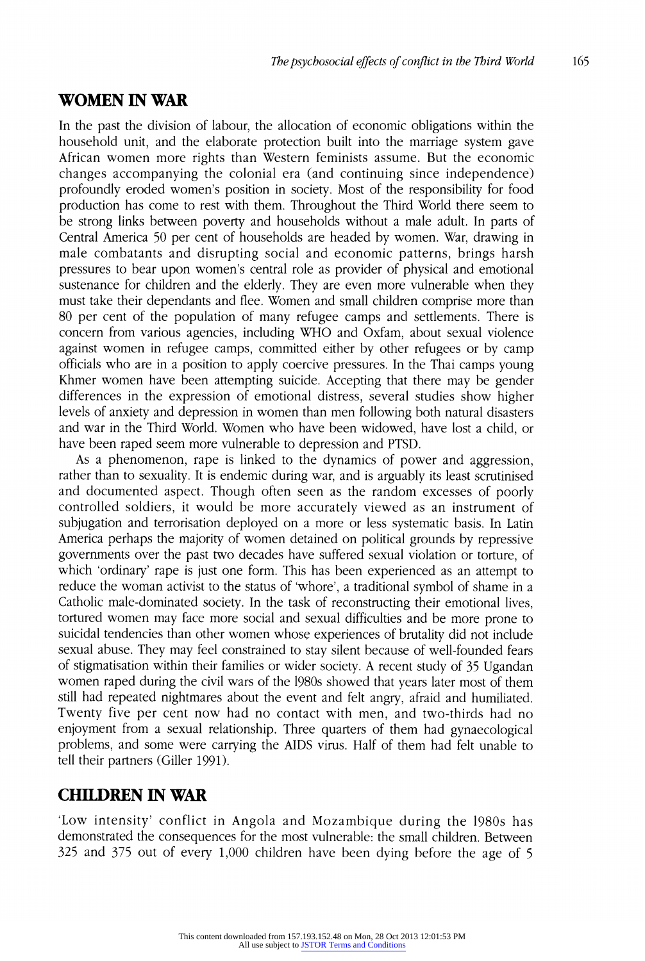#### **WOMEN IN WAR**

**In the past the division of labour, the allocation of economic obligations within the household unit, and the elaborate protection built into the marriage system gave African women more rights than Western feminists assume. But the economic changes accompanying the colonial era (and continuing since independence) profoundly eroded women's position in society. Most of the responsibility for food production has come to rest with them. Throughout the Third World there seem to be strong links between poverty and households without a male adult. In parts of Central America 50 per cent of households are headed by women. War, drawing in male combatants and disrupting social and economic patterns, brings harsh pressures to bear upon women's central role as provider of physical and emotional sustenance for children and the elderly. They are even more vulnerable when they must take their dependants and flee. Women and small children comprise more than 80 per cent of the population of many refugee camps and settlements. There is concern from various agencies, including WHO and Oxfam, about sexual violence against women in refugee camps, committed either by other refugees or by camp officials who are in a position to apply coercive pressures. In the Thai camps young Khmer women have been attempting suicide. Accepting that there may be gender differences in the expression of emotional distress, several studies show higher levels of anxiety and depression in women than men following both natural disasters and war in the Third World. Women who have been widowed, have lost a child, or have been raped seem more vulnerable to depression and PTSD.** 

**As a phenomenon, rape is linked to the dynamics of power and aggression, rather than to sexuality. It is endemic during war, and is arguably its least scrutinised and documented aspect. Though often seen as the random excesses of poorly controlled soldiers, it would be more accurately viewed as an instrument of subjugation and terrorisation deployed on a more or less systematic basis. In Latin America perhaps the majority of women detained on political grounds by repressive governments over the past two decades have suffered sexual violation or torture, of which 'ordinary' rape is just one form. This has been experienced as an attempt to reduce the woman activist to the status of 'whore', a traditional symbol of shame in a Catholic male-dominated society. In the task of reconstructing their emotional lives, tortured women may face more social and sexual difficulties and be more prone to suicidal tendencies than other women whose experiences of brutality did not include sexual abuse. They may feel constrained to stay silent because of well-founded fears of stigmatisation within their families or wider society. A recent study of 35 Ugandan women raped during the civil wars of the 1980s showed that years later most of them still had repeated nightmares about the event and felt angry, afraid and humiliated. Twenty five per cent now had no contact with men, and two-thirds had no enjoyment from a sexual relationship. Three quarters of them had gynaecological problems, and some were carrying the AIDS virus. Half of them had felt unable to tell their partners (Giller 1991).** 

## **CHILDREN IN WAR**

**'Low intensity' conflict in Angola and Mozambique during the 1980s has demonstrated the consequences for the most vulnerable: the small children. Between 325 and 375 out of every 1,000 children have been dying before the age of 5**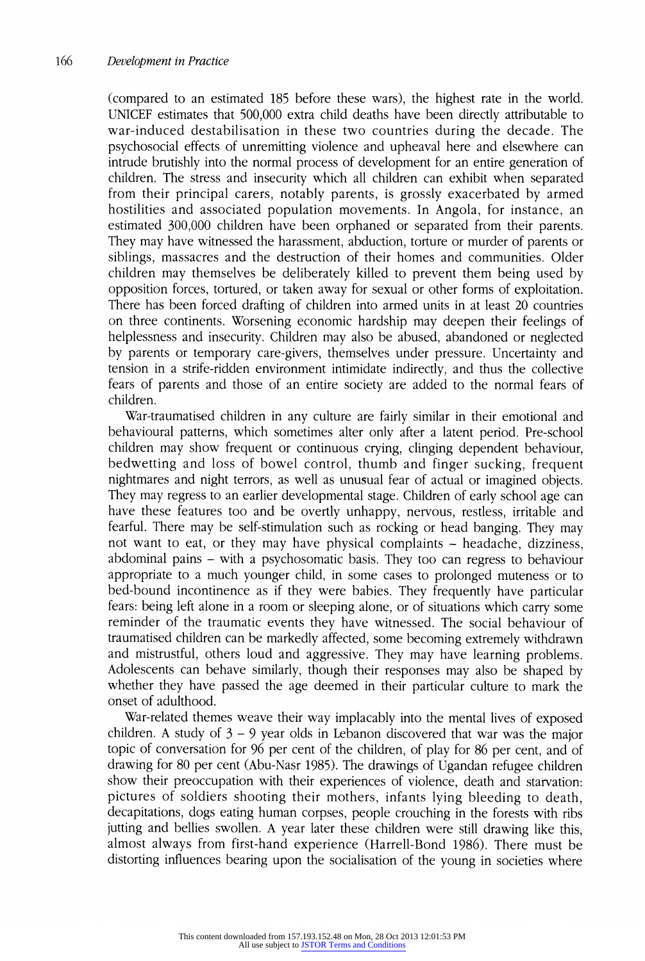**(compared to an estimated 185 before these wars), the highest rate in the world. UNICEF estimates that 500,000 extra child deaths have been directly attributable to war-induced destabilisation in these two countries during the decade. The psychosocial effects of unremitting violence and upheaval here and elsewhere can intrude brutishly into the normal process of development for an entire generation of children. The stress and insecurity which all children can exhibit when separated from their principal carers, notably parents, is grossly exacerbated by armed hostilities and associated population movements. In Angola, for instance, an estimated 300,000 children have been orphaned or separated from their parents. They may have witnessed the harassment, abduction, torture or murder of parents or siblings, massacres and the destruction of their homes and communities. Older children may themselves be deliberately killed to prevent them being used by opposition forces, tortured, or taken away for sexual or other forms of exploitation. There has been forced drafting of children into armed units in at least 20 countries on three continents. Worsening economic hardship may deepen their feelings of helplessness and insecurity. Children may also be abused, abandoned or neglected by parents or temporary care-givers, themselves under pressure. Uncertainty and tension in a strife-ridden environment intimidate indirectly, and thus the collective fears of parents and those of an entire society are added to the normal fears of children.** 

**War-traumatised children in any culture are fairly similar in their emotional and behavioural patterns, which sometimes alter only after a latent period. Pre-school children may show frequent or continuous crying, clinging dependent behaviour, bedwetting and loss of bowel control, thumb and finger sucking, frequent nightmares and night terrors, as well as unusual fear of actual or imagined objects. They may regress to an earlier developmental stage. Children of early school age can have these features too and be overtly unhappy, nervous, restless, irritable and fearful. There may be self-stimulation such as rocking or head banging. They may not want to eat, or they may have physical complaints - headache, dizziness, abdominal pains - with a psychosomatic basis. They too can regress to behaviour appropriate to a much younger child, in some cases to prolonged muteness or to bed-bound incontinence as if they were babies. They frequently have particular fears: being left alone in a room or sleeping alone, or of situations which carry some reminder of the traumatic events they have witnessed. The social behaviour of traumatised children can be markedly affected, some becoming extremely withdrawn and mistrustful, others loud and aggressive. They may have learning problems. Adolescents can behave similarly, though their responses may also be shaped by whether they have passed the age deemed in their particular culture to mark the onset of adulthood.** 

**War-related themes weave their way implacably into the mental lives of exposed children. A study of 3 - 9 year olds in Lebanon discovered that war was the major topic of conversation for 96 per cent of the children, of play for 86 per cent, and of drawing for 80 per cent (Abu-Nasr 1985). The drawings of Ugandan refugee children show their preoccupation with their experiences of violence, death and starvation: pictures of soldiers shooting their mothers, infants lying bleeding to death, decapitations, dogs eating human corpses, people crouching in the forests with ribs jutting and bellies swollen. A year later these children were still drawing like this, almost always from first-hand experience (Harrell-Bond 1986). There must be distorting influences bearing upon the socialisation of the young in societies where**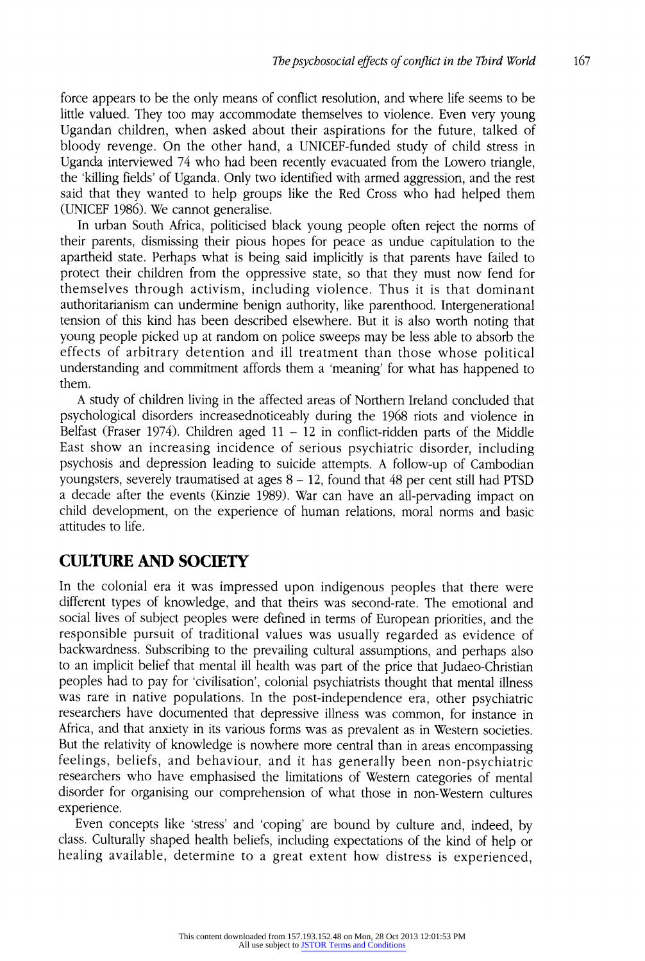**force appears to be the only means of conflict resolution, and where life seems to be little valued. They too may accommodate themselves to violence. Even very young Ugandan children, when asked about their aspirations for the future, talked of bloody revenge. On the other hand, a UNICEF-funded study of child stress in Uganda interviewed 74 who had been recently evacuated from the Lowero triangle, the 'killing fields' of Uganda. Only two identified with armed aggression, and the rest said that they wanted to help groups like the Red Cross who had helped them (UNICEF 1986). We cannot generalise.** 

**In urban South Africa, politicised black young people often reject the norms of their parents, dismissing their pious hopes for peace as undue capitulation to the apartheid state. Perhaps what is being said implicitly is that parents have failed to protect their children from the oppressive state, so that they must now fend for themselves through activism, including violence. Thus it is that dominant authoritarianism can undermine benign authority, like parenthood. Intergenerational tension of this kind has been described elsewhere. But it is also worth noting that young people picked up at random on police sweeps may be less able to absorb the effects of arbitrary detention and ill treatment than those whose political understanding and commitment affords them a 'meaning' for what has happened to them.** 

**A study of children living in the affected areas of Northern Ireland concluded that psychological disorders increasednoticeably during the 1968 riots and violence in Belfast (Fraser 1974). Children aged 11 - 12 in conflict-ridden parts of the Middle East show an increasing incidence of serious psychiatric disorder, including psychosis and depression leading to suicide attempts. A follow-up of Cambodian youngsters, severely traumatised at ages 8 - 12, found that 48 per cent still had PTSD a decade after the events (Kinzie 1989). War can have an all-pervading impact on child development, on the experience of human relations, moral norms and basic attitudes to life.** 

## **CULTURE AND SOCIETY**

**In the colonial era it was impressed upon indigenous peoples that there were different types of knowledge, and that theirs was second-rate. The emotional and social lives of subject peoples were defined in terms of European priorities, and the responsible pursuit of traditional values was usually regarded as evidence of backwardness. Subscribing to the prevailing cultural assumptions, and perhaps also to an implicit belief that mental ill health was part of the price that Judaeo-Christian peoples had to pay for 'civilisation', colonial psychiatrists thought that mental illness was rare in native populations. In the post-independence era, other psychiatric researchers have documented that depressive illness was common, for instance in Africa, and that anxiety in its various forms was as prevalent as in Western societies. But the relativity of knowledge is nowhere more central than in areas encompassing feelings, beliefs, and behaviour, and it has generally been non-psychiatric researchers who have emphasised the limitations of Western categories of mental disorder for organising our comprehension of what those in non-Western cultures experience.** 

**Even concepts like 'stress' and 'coping' are bound by culture and, indeed, by class. Culturally shaped health beliefs, including expectations of the kind of help or healing available, determine to a great extent how distress is experienced,**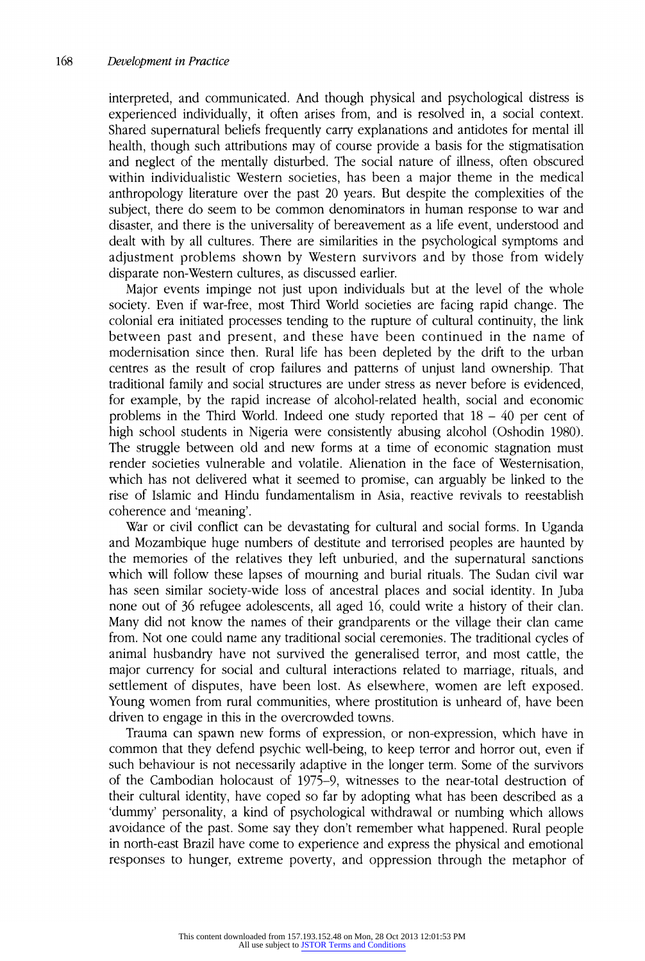**interpreted, and communicated. And though physical and psychological distress is experienced individually, it often arises from, and is resolved in, a social context. Shared supernatural beliefs frequently carry explanations and antidotes for mental ill health, though such attributions may of course provide a basis for the stigmatisation and neglect of the mentally disturbed. The social nature of illness, often obscured within individualistic Western societies, has been a major theme in the medical anthropology literature over the past 20 years. But despite the complexities of the subject, there do seem to be common denominators in human response to war and disaster, and there is the universality of bereavement as a life event, understood and dealt with by all cultures. There are similarities in the psychological symptoms and adjustment problems shown by Western survivors and by those from widely disparate non-Western cultures, as discussed earlier.** 

**Major events impinge not just upon individuals but at the level of the whole society. Even if war-free, most Third World societies are facing rapid change. The colonial era initiated processes tending to the rupture of cultural continuity, the link between past and present, and these have been continued in the name of modernisation since then. Rural life has been depleted by the drift to the urban centres as the result of crop failures and patterns of unjust land ownership. That traditional family and social structures are under stress as never before is evidenced, for example, by the rapid increase of alcohol-related health, social and economic problems in the Third World. Indeed one study reported that 18 - 40 per cent of high school students in Nigeria were consistently abusing alcohol (Oshodin 1980). The struggle between old and new forms at a time of economic stagnation must render societies vulnerable and volatile. Alienation in the face of Westernisation, which has not delivered what it seemed to promise, can arguably be linked to the rise of Islamic and Hindu fundamentalism in Asia, reactive revivals to reestablish coherence and 'meaning'.** 

**War or civil conflict can be devastating for cultural and social forms. In Uganda and Mozambique huge numbers of destitute and terrorised peoples are haunted by the memories of the relatives they left unburied, and the supernatural sanctions which will follow these lapses of mourning and burial rituals. The Sudan civil war has seen similar society-wide loss of ancestral places and social identity. In Juba none out of 36 refugee adolescents, all aged 16, could write a history of their clan. Many did not know the names of their grandparents or the village their clan came from. Not one could name any traditional social ceremonies. The traditional cycles of animal husbandry have not survived the generalised terror, and most cattle, the major currency for social and cultural interactions related to marriage, rituals, and settlement of disputes, have been lost. As elsewhere, women are left exposed. Young women from rural communities, where prostitution is unheard of, have been driven to engage in this in the overcrowded towns.** 

**Trauma can spawn new forms of expression, or non-expression, which have in common that they defend psychic well-being, to keep terror and horror out, even if such behaviour is not necessarily adaptive in the longer term. Some of the survivors of the Cambodian holocaust of 1975-9, witnesses to the near-total destruction of their cultural identity, have coped so far by adopting what has been described as a 'dummy' personality, a kind of psychological withdrawal or numbing which allows avoidance of the past. Some say they don't remember what happened. Rural people in north-east Brazil have come to experience and express the physical and emotional responses to hunger, extreme poverty, and oppression through the metaphor of**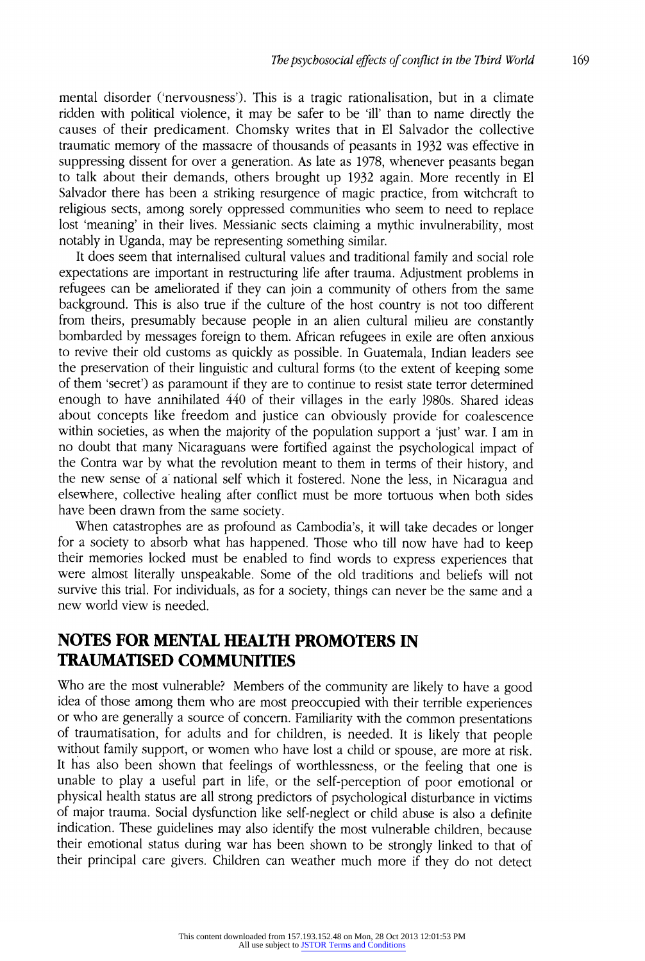**mental disorder ('nervousness'). This is a tragic rationalisation, but in a climate ridden with political violence, it may be safer to be 'ill' than to name directly the causes of their predicament. Chomsky writes that in El Salvador the collective traumatic memory of the massacre of thousands of peasants in 1932 was effective in suppressing dissent for over a generation. As late as 1978, whenever peasants began to talk about their demands, others brought up 1932 again. More recently in El Salvador there has been a striking resurgence of magic practice, from witchcraft to religious sects, among sorely oppressed communities who seem to need to replace lost 'meaning' in their lives. Messianic sects claiming a mythic invulnerability, most notably in Uganda, may be representing something similar.** 

**It does seem that internalised cultural values and traditional family and social role expectations are important in restructuring life after trauma. Adjustment problems in refugees can be ameliorated if they can join a community of others from the same background. This is also true if the culture of the host country is not too different from theirs, presumably because people in an alien cultural milieu are constantly bombarded by messages foreign to them. African refugees in exile are often anxious to revive their old customs as quickly as possible. In Guatemala, Indian leaders see the preservation of their linguistic and cultural forms (to the extent of keeping some of them 'secret') as paramount if they are to continue to resist state terror determined enough to have annihilated 440 of their villages in the early 1980s. Shared ideas about concepts like freedom and justice can obviously provide for coalescence within societies, as when the majority of the population support a 'just' war. I am in no doubt that many Nicaraguans were fortified against the psychological impact of the Contra war by what the revolution meant to them in terms of their history, and the new sense of a national self which it fostered. None the less, in Nicaragua and elsewhere, collective healing after conflict must be more tortuous when both sides have been drawn from the same society.** 

**When catastrophes are as profound as Cambodia's, it will take decades or longer for a society to absorb what has happened. Those who till now have had to keep their memories locked must be enabled to find words to express experiences that were almost literally unspeakable. Some of the old traditions and beliefs will not survive this trial. For individuals, as for a society, things can never be the same and a new world view is needed.** 

## **NOTES FOR MENTAL HEALTH PROMOTERS IN TRAUMATISED COMMUNITIES**

**Who are the most vulnerable? Members of the community are likely to have a good idea of those among them who are most preoccupied with their terrible experiences or who are generally a source of concern. Familiarity with the common presentations of traumatisation, for adults and for children, is needed. It is likely that people without family support, or women who have lost a child or spouse, are more at risk. It has also been shown that feelings of worthlessness, or the feeling that one is unable to play a useful part in life, or the self-perception of poor emotional or physical health status are all strong predictors of psychological disturbance in victims of major trauma. Social dysfunction like self-neglect or child abuse is also a definite indication. These guidelines may also identify the most vulnerable children, because their emotional status during war has been shown to be strongly linked to that of their principal care givers. Children can weather much more if they do not detect**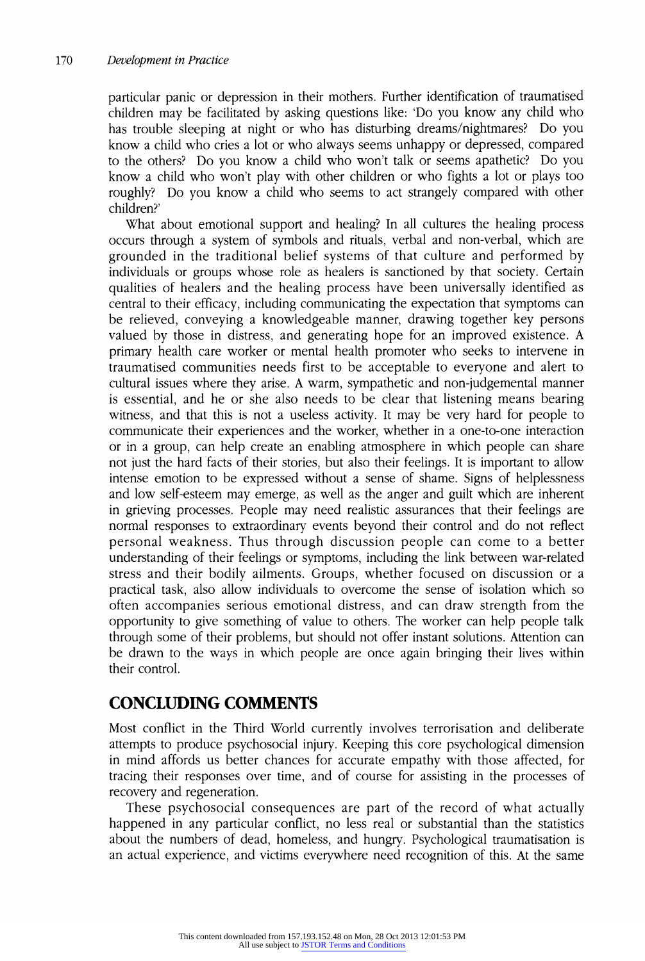**particular panic or depression in their mothers. Further identification of traumatised children may be facilitated by asking questions like: 'Do you know any child who has trouble sleeping at night or who has disturbing dreams/nightmares? Do you know a child who cries a lot or who always seems unhappy or depressed, compared to the others? Do you know a child who won't talk or seems apathetic? Do you know a child who won't play with other children or who fights a lot or plays too roughly? Do you know a child who seems to act strangely compared with other children?'** 

**What about emotional support and healing? In all cultures the healing process occurs through a system of symbols and rituals, verbal and non-verbal, which are grounded in the traditional belief systems of that culture and performed by individuals or groups whose role as healers is sanctioned by that society. Certain qualities of healers and the healing process have been universally identified as central to their efficacy, including communicating the expectation that symptoms can be relieved, conveying a knowledgeable manner, drawing together key persons valued by those in distress, and generating hope for an improved existence. A primary health care worker or mental health promoter who seeks to intervene in traumatised communities needs first to be acceptable to everyone and alert to cultural issues where they arise. A warm, sympathetic and non-judgemental manner is essential, and he or she also needs to be clear that listening means bearing witness, and that this is not a useless activity. It may be very hard for people to communicate their experiences and the worker, whether in a one-to-one interaction or in a group, can help create an enabling atmosphere in which people can share**  not just the hard facts of their stories, but also their feelings. It is important to allow **intense emotion to be expressed without a sense of shame. Signs of helplessness and low self-esteem may emerge, as well as the anger and guilt which are inherent in grieving processes. People may need realistic assurances that their feelings are normal responses to extraordinary events beyond their control and do not reflect personal weakness. Thus through discussion people can come to a better understanding of their feelings or symptoms, including the link between war-related stress and their bodily ailments. Groups, whether focused on discussion or a practical task, also allow individuals to overcome the sense of isolation which so often accompanies serious emotional distress, and can draw strength from the opportunity to give something of value to others. The worker can help people talk through some of their problems, but should not offer instant solutions. Attention can be drawn to the ways in which people are once again bringing their lives within their control.** 

## **CONCLUDING COMMENTS**

**Most conflict in the Third World currently involves terrorisation and deliberate attempts to produce psychosocial injury. Keeping this core psychological dimension in mind affords us better chances for accurate empathy with those affected, for tracing their responses over time, and of course for assisting in the processes of recovery and regeneration.** 

**These psychosocial consequences are part of the record of what actually happened in any particular conflict, no less real or substantial than the statistics about the numbers of dead, homeless, and hungry. Psychological traumatisation is an actual experience, and victims everywhere need recognition of this. At the same**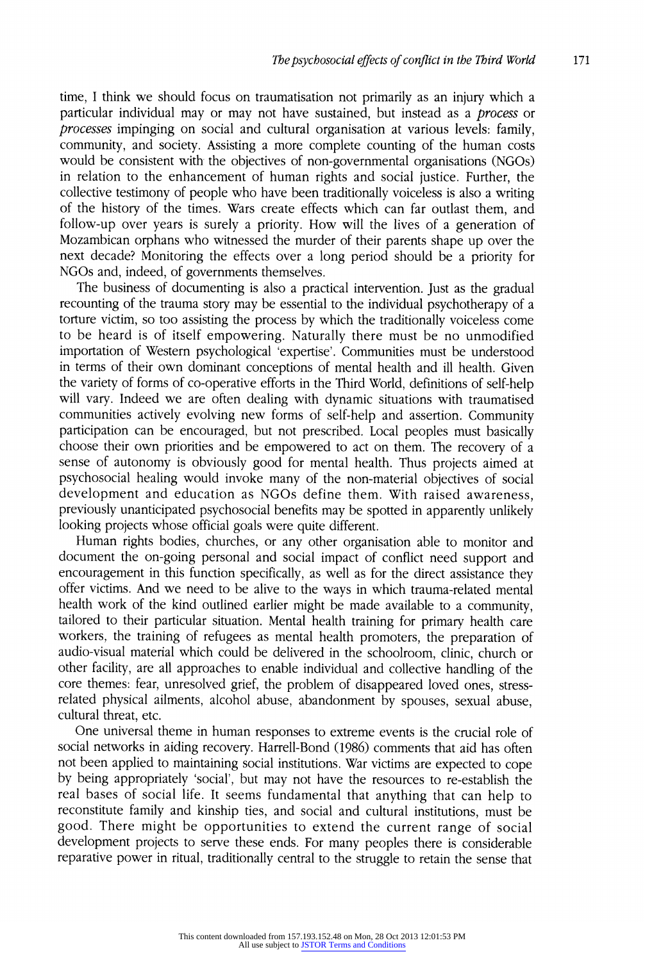time, I think we should focus on traumatisation not primarily as an injury which a **particular individual may or may not have sustained, but instead as a process or processes impinging on social and cultural organisation at various levels: family, community, and society. Assisting a more complete counting of the human costs would be consistent with the objectives of non-governmental organisations (NGOs) in relation to the enhancement of human rights and social justice. Further, the collective testimony of people who have been traditionally voiceless is also a writing of the history of the times. Wars create effects which can far outlast them, and follow-up over years is surely a priority. How will the lives of a generation of Mozambican orphans who witnessed the murder of their parents shape up over the next decade? Monitoring the effects over a long period should be a priority for NGOs and, indeed, of governments themselves.** 

**The business of documenting is also a practical intervention. Just as the gradual recounting of the trauma story may be essential to the individual psychotherapy of a torture victim, so too assisting the process by which the traditionally voiceless come to be heard is of itself empowering. Naturally there must be no unmodified importation of Western psychological 'expertise'. Communities must be understood in terms of their own dominant conceptions of mental health and ill health. Given the variety of forms of co-operative efforts in the Third World, definitions of self-help will vary. Indeed we are often dealing with dynamic situations with traumatised communities actively evolving new forms of self-help and assertion. Community participation can be encouraged, but not prescribed. Local peoples must basically choose their own priorities and be empowered to act on them. The recovery of a sense of autonomy is obviously good for mental health. Thus projects aimed at psychosocial healing would invoke many of the non-material objectives of social development and education as NGOs define them. With raised awareness, previously unanticipated psychosocial benefits may be spotted in apparently unlikely looking projects whose official goals were quite different.** 

**Human rights bodies, churches, or any other organisation able to monitor and document the on-going personal and social impact of conflict need support and encouragement in this function specifically, as well as for the direct assistance they offer victims. And we need to be alive to the ways in which trauma-related mental health work of the kind outlined earlier might be made available to a community, tailored to their particular situation. Mental health training for primary health care workers, the training of refugees as mental health promoters, the preparation of audio-visual material which could be delivered in the schoolroom, clinic, church or other facility, are all approaches to enable individual and collective handling of the core themes: fear, unresolved grief, the problem of disappeared loved ones, stressrelated physical ailments, alcohol abuse, abandonment by spouses, sexual abuse, cultural threat, etc.** 

**One universal theme in human responses to extreme events is the crucial role of social networks in aiding recovery. Harrell-Bond (1986) comments that aid has often not been applied to maintaining social institutions. War victims are expected to cope by being appropriately 'social', but may not have the resources to re-establish the real bases of social life. It seems fundamental that anything that can help to reconstitute family and kinship ties, and social and cultural institutions, must be good. There might be opportunities to extend the current range of social development projects to serve these ends. For many peoples there is considerable reparative power in ritual, traditionally central to the struggle to retain the sense that**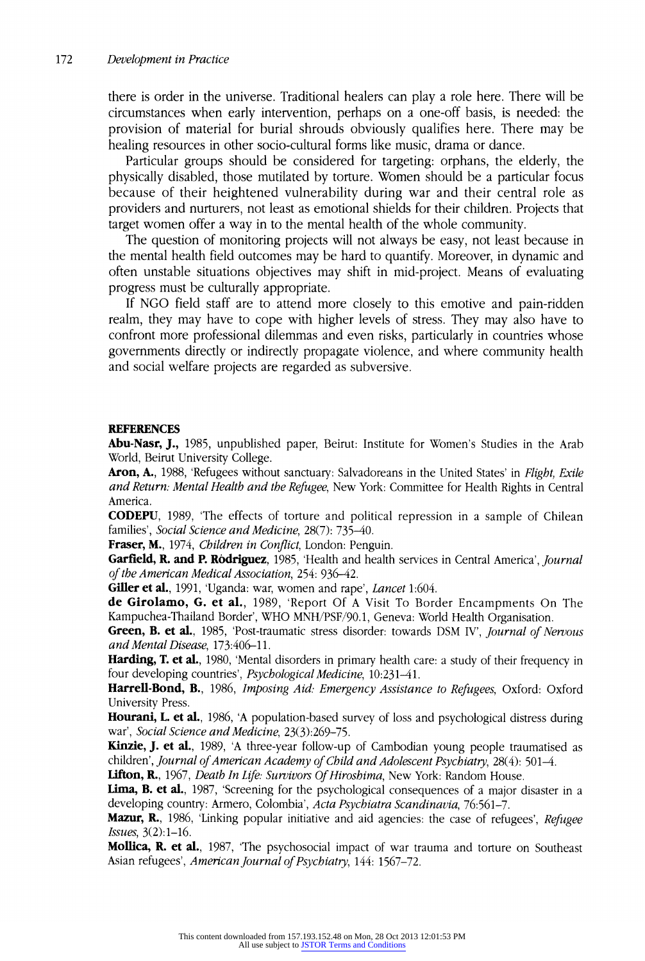**there is order in the universe. Traditional healers can play a role here. There will be circumstances when early intervention, perhaps on a one-off basis, is needed: the provision of material for burial shrouds obviously qualifies here. There may be healing resources in other socio-cultural forms like music, drama or dance.** 

**Particular groups should be considered for targeting: orphans, the elderly, the physically disabled, those mutilated by torture. Women should be a particular focus because of their heightened vulnerability during war and their central role as providers and nurturers, not least as emotional shields for their children. Projects that target women offer a way in to the mental health of the whole community.** 

**The question of monitoring projects will not always be easy, not least because in the mental health field outcomes may be hard to quantify. Moreover, in dynamic and often unstable situations objectives may shift in mid-project. Means of evaluating progress must be culturally appropriate.** 

**If NGO field staff are to attend more closely to this emotive and pain-ridden realm, they may have to cope with higher levels of stress. They may also have to confront more professional dilemmas and even risks, particularly in countries whose governments directly or indirectly propagate violence, and where community health and social welfare projects are regarded as subversive.** 

#### **REFERENCES**

**Abu-Nasr, J., 1985, unpublished paper, Beirut: Institute for Women's Studies in the Arab World, Beirut University College.** 

**Aron, A., 1988, 'Refugees without sanctuary: Salvadoreans in the United States' in Flight, Exile and Return: Mental Health and the Refugee, New York: Committee for Health Rights in Central America.** 

**CODEPU, 1989, 'The effects of torture and political repression in a sample of Chilean families', Social Science and Medicine, 28(7): 735-40.** 

**Fraser, M., 1974, Children in Conflict, London: Penguin.** 

Garfield, R. and P. Rodriguez, 1985, 'Health and health services in Central America', Journal **of the American Medical Association, 254: 936-42.** 

**Giller et al., 1991, 'Uganda: war, women and rape', Lancet 1:604.** 

**de Girolamo, G. et al., 1989, 'Report Of A Visit To Border Encampments On The Kampuchea-Thailand Border', WHO MNH/PSF/90.1, Geneva: World Health Organisation.** 

**Green, B. et al., 1985, 'Post-traumatic stress disorder: towards DSM IV', Journal of Nervous andMentalDisease, 173:406-11.** 

**Harding, T. et al., 1980, 'Mental disorders in primary health care: a study of their frequency in four developing countries', Psychological Medicine, 10:231-41.** 

**Harrell-Bond, B., 1986, Imposing Aid: Emergency Assistance to Refugees, Oxford: Oxford University Press.** 

**Hourani, L. et al., 1986, 'A population-based survey of loss and psychological distress during war', Social Science and Medicine, 23(3):269-75.** 

**Kinzie, J. et al., 1989, 'A three-year follow-up of Cambodian young people traumatised as children', Journal of American Academy of Child and Adolescent Psychiatry, 28(4): 501-4.** 

**Lifton, R., 1967, Death In Life: Survivors Of Hiroshima, New York: Random House.** 

**Lima, B. et al., 1987, 'Screening for the psychological consequences of a major disaster in a developing country: Armero, Colombia', Acta Psychiatra Scandinavia, 76:561-7.** 

**Mazur, R., 1986, 'Linking popular initiative and aid agencies: the case of refugees', Refugee Issues, 3(2):1-16.** 

**Mollica, R. et al., 1987, 'The psychosocial impact of war trauma and torture on Southeast Asian refugees', American Journal of Psychiatry, 144: 1567-72.**